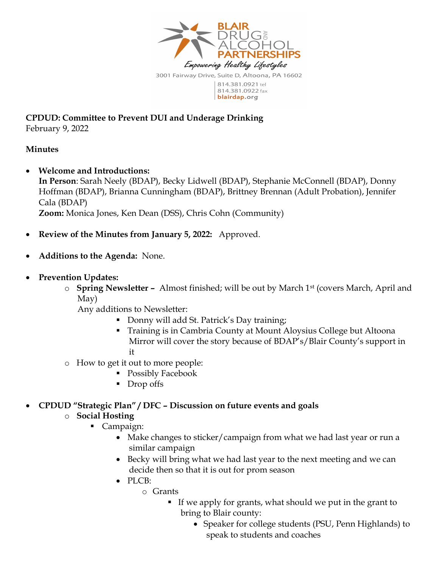

CPDUD: Committee to Prevent DUI and Underage Drinking February 9, 2022

## Minutes

Welcome and Introductions:

In Person: Sarah Neely (BDAP), Becky Lidwell (BDAP), Stephanie McConnell (BDAP), Donny Hoffman (BDAP), Brianna Cunningham (BDAP), Brittney Brennan (Adult Probation), Jennifer Cala (BDAP)

Zoom: Monica Jones, Ken Dean (DSS), Chris Cohn (Community)

- Review of the Minutes from January 5, 2022: Approved.
- Additions to the Agenda: None.
- Prevention Updates:
	- $\circ$  Spring Newsletter Almost finished; will be out by March 1<sup>st</sup> (covers March, April and May)

Any additions to Newsletter:

- Donny will add St. Patrick's Day training;
- Training is in Cambria County at Mount Aloysius College but Altoona Mirror will cover the story because of BDAP's/Blair County's support in it
- o How to get it out to more people:
	- Possibly Facebook
	- Drop offs

CPDUD "Strategic Plan" / DFC – Discussion on future events and goals

## o Social Hosting

- Campaign:
	- Make changes to sticker/campaign from what we had last year or run a similar campaign
	- Becky will bring what we had last year to the next meeting and we can decide then so that it is out for prom season
	- PLCB:
		- o Grants
			- If we apply for grants, what should we put in the grant to bring to Blair county:
				- Speaker for college students (PSU, Penn Highlands) to speak to students and coaches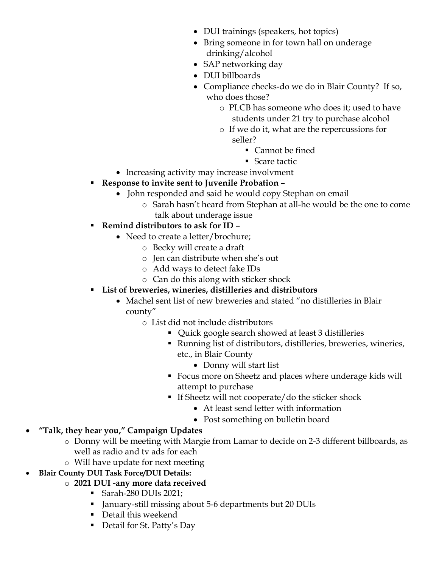- DUI trainings (speakers, hot topics)
- Bring someone in for town hall on underage drinking/alcohol
- SAP networking day
- DUI billboards
- Compliance checks-do we do in Blair County? If so, who does those?
	- o PLCB has someone who does it; used to have students under 21 try to purchase alcohol
	- o If we do it, what are the repercussions for seller?
		- Cannot be fined
		- Scare tactic
- Increasing activity may increase involvment
- Response to invite sent to Juvenile Probation
	- John responded and said he would copy Stephan on email
		- o Sarah hasn't heard from Stephan at all-he would be the one to come talk about underage issue
- Remind distributors to ask for ID  $-$ 
	- Need to create a letter/brochure;
		- o Becky will create a draft
		- o Jen can distribute when she's out
		- o Add ways to detect fake IDs
		- o Can do this along with sticker shock
- List of breweries, wineries, distilleries and distributors
	- Machel sent list of new breweries and stated "no distilleries in Blair county"
		- o List did not include distributors
			- Quick google search showed at least 3 distilleries
			- Running list of distributors, distilleries, breweries, wineries, etc., in Blair County
				- Donny will start list
			- Focus more on Sheetz and places where underage kids will attempt to purchase
			- If Sheetz will not cooperate/do the sticker shock
				- At least send letter with information
				- Post something on bulletin board
- "Talk, they hear you," Campaign Updates
	- o Donny will be meeting with Margie from Lamar to decide on 2-3 different billboards, as well as radio and tv ads for each
	- o Will have update for next meeting
- Blair County DUI Task Force/DUI Details:
	- o 2021 DUI -any more data received
		- Sarah-280 DUIs 2021;
		- January-still missing about 5-6 departments but 20 DUIs
		- Detail this weekend
		- Detail for St. Patty's Day